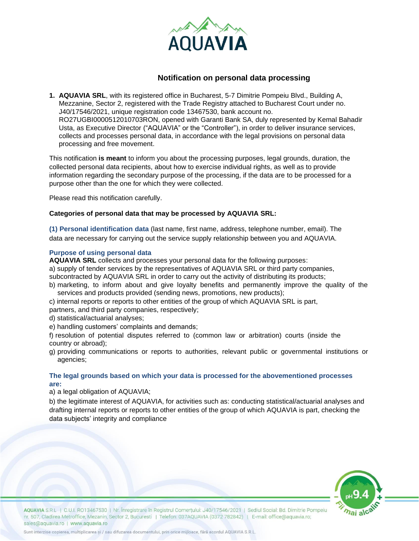

# **Notification on personal data processing**

**1. AQUAVIA SRL**, with its registered office in Bucharest, 5-7 Dimitrie Pompeiu Blvd., Building A, Mezzanine, Sector 2, registered with the Trade Registry attached to Bucharest Court under no. J40/17546/2021, unique registration code 13467530, bank account no. RO27UGBI0000512010703RON, opened with Garanti Bank SA, duly represented by Kemal Bahadir Usta, as Executive Director ("AQUAVIA" or the "Controller"), in order to deliver insurance services, collects and processes personal data, in accordance with the legal provisions on personal data processing and free movement.

This notification **is meant** to inform you about the processing purposes, legal grounds, duration, the collected personal data recipients, about how to exercise individual rights, as well as to provide information regarding the secondary purpose of the processing, if the data are to be processed for a purpose other than the one for which they were collected.

Please read this notification carefully.

## **Categories of personal data that may be processed by AQUAVIA SRL:**

**(1) Personal identification data** (last name, first name, address, telephone number, email). The data are necessary for carrying out the service supply relationship between you and AQUAVIA.

## **Purpose of using personal data**

**AQUAVIA SRL** collects and processes your personal data for the following purposes:

a) supply of tender services by the representatives of AQUAVIA SRL or third party companies,

subcontracted by AQUAVIA SRL in order to carry out the activity of distributing its products;

b) marketing, to inform about and give loyalty benefits and permanently improve the quality of the services and products provided (sending news, promotions, new products);

c) internal reports or reports to other entities of the group of which AQUAVIA SRL is part, partners, and third party companies, respectively;

- d) statistical/actuarial analyses;
- e) handling customers' complaints and demands;

f) resolution of potential disputes referred to (common law or arbitration) courts (inside the country or abroad);

g) providing communications or reports to authorities, relevant public or governmental institutions or agencies;

# **The legal grounds based on which your data is processed for the abovementioned processes are:**

a) a legal obligation of AQUAVIA;

b) the legitimate interest of AQUAVIA, for activities such as: conducting statistical/actuarial analyses and drafting internal reports or reports to other entities of the group of which AQUAVIA is part, checking the data subjects' integrity and compliance



AQUAVIA S.R.L | C.U.I. RO13467530 | Nr. Înregistrare în Registrul Comerțului: J40/17546/2021 | Sediul Social: Bd. Dimitrie Pompeiu nr. 507, Cladirea Metroffice, Mezanin, Sector 2, Bucuresti | Telefon: 037AQUAVIA (0372 782842) | E-mail: office@aquavia.ro; sales@aquavia.ro | www.aquavia.ro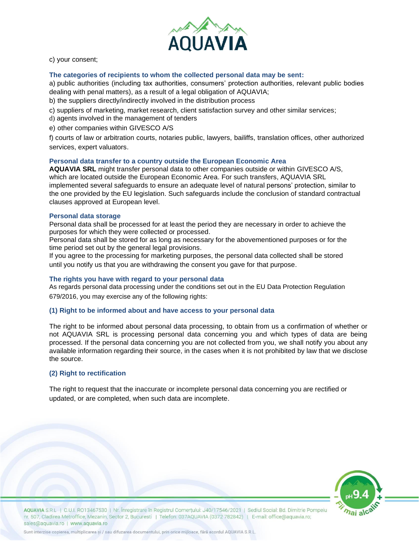

c) your consent;

### **The categories of recipients to whom the collected personal data may be sent:**

a) public authorities (including tax authorities, consumers' protection authorities, relevant public bodies dealing with penal matters), as a result of a legal obligation of AQUAVIA;

b) the suppliers directly/indirectly involved in the distribution process

c) suppliers of marketing, market research, client satisfaction survey and other similar services;

d) agents involved in the management of tenders

e) other companies within GIVESCO A/S

f) courts of law or arbitration courts, notaries public, lawyers, bailiffs, translation offices, other authorized services, expert valuators.

#### **Personal data transfer to a country outside the European Economic Area**

**AQUAVIA SRL** might transfer personal data to other companies outside or within GIVESCO A/S, which are located outside the European Economic Area. For such transfers, AQUAVIA SRL implemented several safeguards to ensure an adequate level of natural persons' protection, similar to the one provided by the EU legislation. Such safeguards include the conclusion of standard contractual clauses approved at European level.

#### **Personal data storage**

Personal data shall be processed for at least the period they are necessary in order to achieve the purposes for which they were collected or processed.

Personal data shall be stored for as long as necessary for the abovementioned purposes or for the time period set out by the general legal provisions.

If you agree to the processing for marketing purposes, the personal data collected shall be stored until you notify us that you are withdrawing the consent you gave for that purpose.

## **The rights you have with regard to your personal data**

As regards personal data processing under the conditions set out in the EU Data Protection Regulation 679/2016, you may exercise any of the following rights:

#### **(1) Right to be informed about and have access to your personal data**

The right to be informed about personal data processing, to obtain from us a confirmation of whether or not AQUAVIA SRL is processing personal data concerning you and which types of data are being processed. If the personal data concerning you are not collected from you, we shall notify you about any available information regarding their source, in the cases when it is not prohibited by law that we disclose the source.

#### **(2) Right to rectification**

The right to request that the inaccurate or incomplete personal data concerning you are rectified or updated, or are completed, when such data are incomplete.



AQUAVIA S.R.L | C.U.I. RO13467530 | Nr. Înregistrare în Registrul Comerțului: J40/17546/2021 | Sediul Social: Bd. Dimitrie Pompeiu nr. 507, Cladirea Metroffice, Mezanin, Sector 2, Bucuresti | Telefon: 037AQUAVIA (0372 782842) | E-mail: office@aquavia.ro; sales@aquavia.ro | www.aquavia.ro

Sunt interzise copierea, multiplicarea și / sau difuzarea documentului, prin orice mijloace, fără acordul AQUAVIA S.R.L.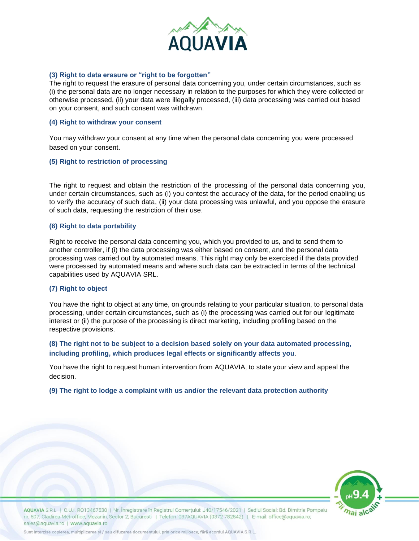

## **(3) Right to data erasure or "right to be forgotten"**

The right to request the erasure of personal data concerning you, under certain circumstances, such as (i) the personal data are no longer necessary in relation to the purposes for which they were collected or otherwise processed, (ii) your data were illegally processed, (iii) data processing was carried out based on your consent, and such consent was withdrawn.

#### **(4) Right to withdraw your consent**

You may withdraw your consent at any time when the personal data concerning you were processed based on your consent.

#### **(5) Right to restriction of processing**

The right to request and obtain the restriction of the processing of the personal data concerning you, under certain circumstances, such as (i) you contest the accuracy of the data, for the period enabling us to verify the accuracy of such data, (ii) your data processing was unlawful, and you oppose the erasure of such data, requesting the restriction of their use.

### **(6) Right to data portability**

Right to receive the personal data concerning you, which you provided to us, and to send them to another controller, if (i) the data processing was either based on consent, and the personal data processing was carried out by automated means. This right may only be exercised if the data provided were processed by automated means and where such data can be extracted in terms of the technical capabilities used by AQUAVIA SRL.

#### **(7) Right to object**

You have the right to object at any time, on grounds relating to your particular situation, to personal data processing, under certain circumstances, such as (i) the processing was carried out for our legitimate interest or (ii) the purpose of the processing is direct marketing, including profiling based on the respective provisions.

**(8) The right not to be subject to a decision based solely on your data automated processing, including profiling, which produces legal effects or significantly affects you**.

You have the right to request human intervention from AQUAVIA, to state your view and appeal the decision.

## **(9) The right to lodge a complaint with us and/or the relevant data protection authority**



AQUAVIA S.R.L | C.U.I. RO13467530 | Nr. Înregistrare în Registrul Comerțului: J40/17546/2021 | Sediul Social: Bd. Dimitrie Pompeiu nr. 507, Cladirea Metroffice, Mezanin, Sector 2, Bucuresti | Telefon: 037AQUAVIA (0372 782842) | E-mail: office@aquavia.ro; sales@aquavia.ro | www.aquavia.ro

Sunt interzise copierea, multiplicarea și / sau difuzarea documentului, prin orice mijloace, fără acordul AQUAVIA S.R.L.